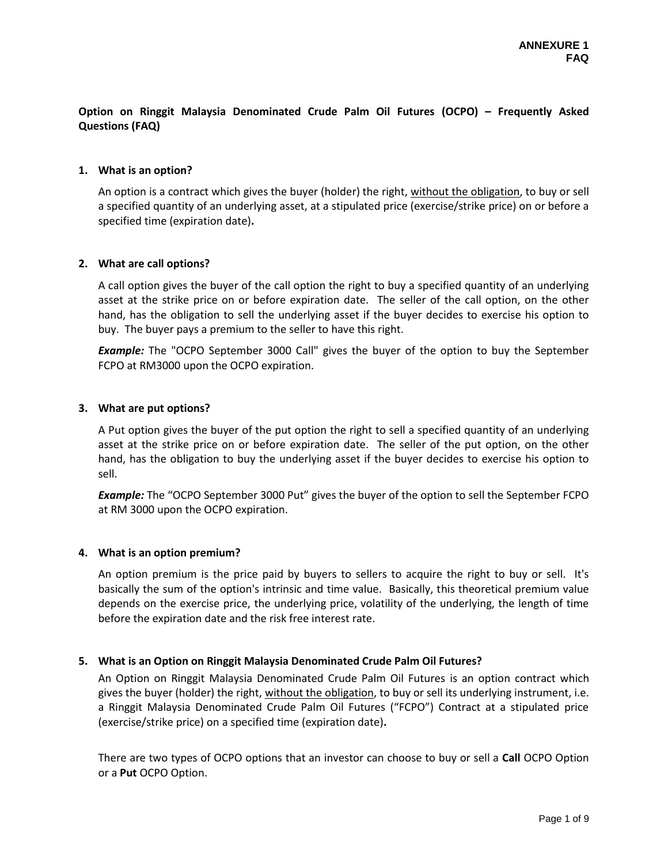## **Option on Ringgit Malaysia Denominated Crude Palm Oil Futures (OCPO) – Frequently Asked Questions (FAQ)**

#### **1. What is an option?**

An option is a contract which gives the buyer (holder) the right, without the obligation, to buy or sell a specified quantity of an underlying asset, at a stipulated price (exercise/strike price) on or before a specified time (expiration date)**.** 

### **2. What are call options?**

A call option gives the buyer of the call option the right to buy a specified quantity of an underlying asset at the strike price on or before expiration date. The seller of the call option, on the other hand, has the obligation to sell the underlying asset if the buyer decides to exercise his option to buy. The buyer pays a premium to the seller to have this right.

*Example:* The "OCPO September 3000 Call" gives the buyer of the option to buy the September FCPO at RM3000 upon the OCPO expiration.

### **3. What are put options?**

A Put option gives the buyer of the put option the right to sell a specified quantity of an underlying asset at the strike price on or before expiration date. The seller of the put option, on the other hand, has the obligation to buy the underlying asset if the buyer decides to exercise his option to sell.

*Example:* The "OCPO September 3000 Put" gives the buyer of the option to sell the September FCPO at RM 3000 upon the OCPO expiration.

#### **4. What is an option premium?**

An option premium is the price paid by buyers to sellers to acquire the right to buy or sell. It's basically the sum of the option's intrinsic and time value. Basically, this theoretical premium value depends on the exercise price, the underlying price, volatility of the underlying, the length of time before the expiration date and the risk free interest rate.

## **5. What is an Option on Ringgit Malaysia Denominated Crude Palm Oil Futures?**

An Option on Ringgit Malaysia Denominated Crude Palm Oil Futures is an option contract which gives the buyer (holder) the right, without the obligation, to buy or sell its underlying instrument, i.e. a Ringgit Malaysia Denominated Crude Palm Oil Futures ("FCPO") Contract at a stipulated price (exercise/strike price) on a specified time (expiration date)**.** 

There are two types of OCPO options that an investor can choose to buy or sell a **Call** OCPO Option or a **Put** OCPO Option.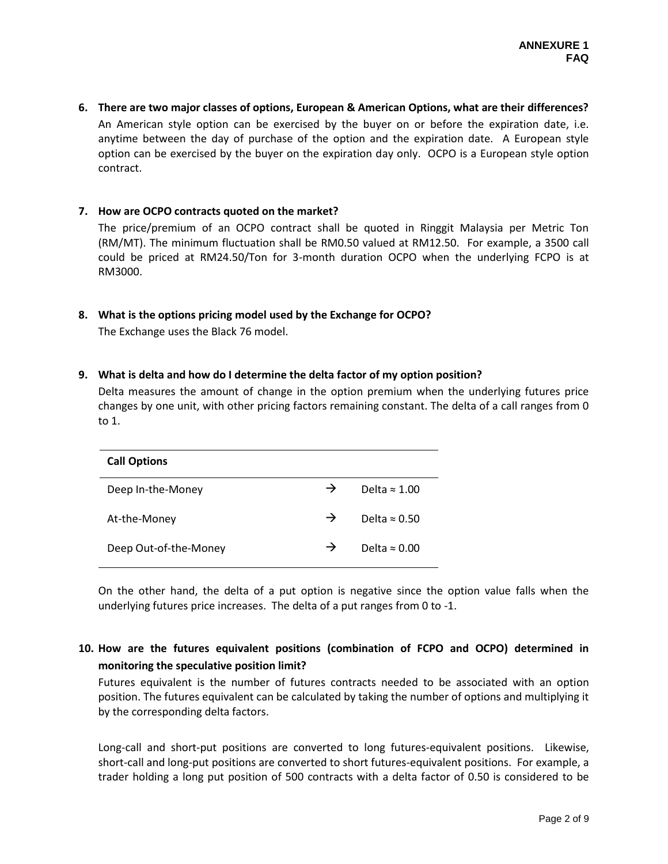**6. There are two major classes of options, European & American Options, what are their differences?** An American style option can be exercised by the buyer on or before the expiration date, i.e. anytime between the day of purchase of the option and the expiration date. A European style option can be exercised by the buyer on the expiration day only. OCPO is a European style option contract.

#### **7. How are OCPO contracts quoted on the market?**

The price/premium of an OCPO contract shall be quoted in Ringgit Malaysia per Metric Ton (RM/MT). The minimum fluctuation shall be RM0.50 valued at RM12.50. For example, a 3500 call could be priced at RM24.50/Ton for 3-month duration OCPO when the underlying FCPO is at RM3000.

### **8. What is the options pricing model used by the Exchange for OCPO?**

The Exchange uses the Black 76 model.

## **9. What is delta and how do I determine the delta factor of my option position?**

Delta measures the amount of change in the option premium when the underlying futures price changes by one unit, with other pricing factors remaining constant. The delta of a call ranges from 0 to 1.

| <b>Call Options</b>   |               |                      |
|-----------------------|---------------|----------------------|
| Deep In-the-Money     | $\rightarrow$ | Delta $\approx 1.00$ |
| At-the-Money          | $\rightarrow$ | Delta $\approx 0.50$ |
| Deep Out-of-the-Money | $\rightarrow$ | Delta $\approx 0.00$ |

On the other hand, the delta of a put option is negative since the option value falls when the underlying futures price increases. The delta of a put ranges from 0 to -1.

## **10. How are the futures equivalent positions (combination of FCPO and OCPO) determined in monitoring the speculative position limit?**

Futures equivalent is the number of futures contracts needed to be associated with an option position. The futures equivalent can be calculated by taking the number of options and multiplying it by the corresponding delta factors.

Long-call and short-put positions are converted to long futures-equivalent positions. Likewise, short-call and long-put positions are converted to short futures-equivalent positions. For example, a trader holding a long put position of 500 contracts with a delta factor of 0.50 is considered to be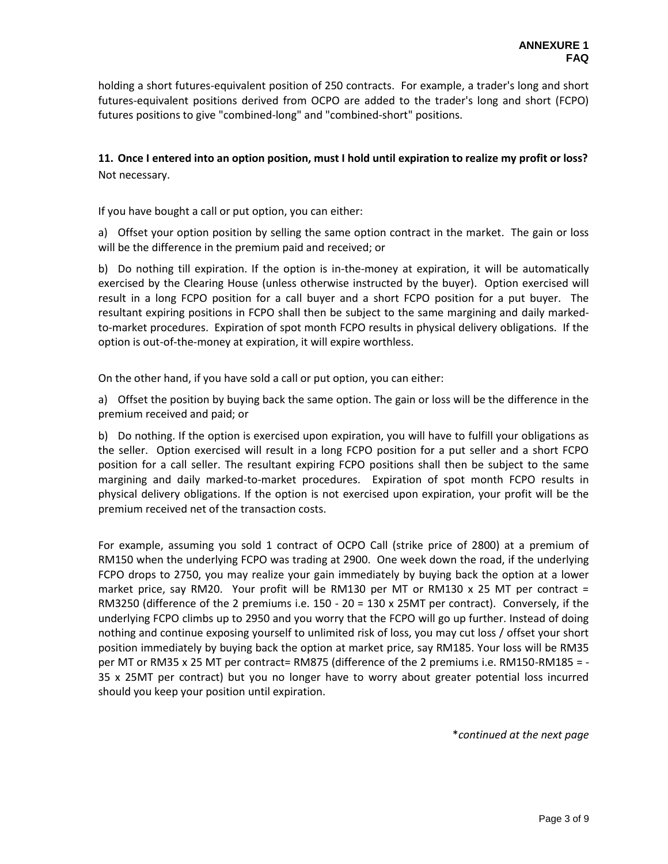holding a short futures-equivalent position of 250 contracts. For example, a trader's long and short futures-equivalent positions derived from OCPO are added to the trader's long and short (FCPO) futures positions to give "combined-long" and "combined-short" positions.

# **11. Once I entered into an option position, must I hold until expiration to realize my profit or loss?** Not necessary.

If you have bought a call or put option, you can either:

a) Offset your option position by selling the same option contract in the market. The gain or loss will be the difference in the premium paid and received; or

b) Do nothing till expiration. If the option is in-the-money at expiration, it will be automatically exercised by the Clearing House (unless otherwise instructed by the buyer). Option exercised will result in a long FCPO position for a call buyer and a short FCPO position for a put buyer. The resultant expiring positions in FCPO shall then be subject to the same margining and daily markedto-market procedures. Expiration of spot month FCPO results in physical delivery obligations. If the option is out-of-the-money at expiration, it will expire worthless.

On the other hand, if you have sold a call or put option, you can either:

a) Offset the position by buying back the same option. The gain or loss will be the difference in the premium received and paid; or

b) Do nothing. If the option is exercised upon expiration, you will have to fulfill your obligations as the seller. Option exercised will result in a long FCPO position for a put seller and a short FCPO position for a call seller. The resultant expiring FCPO positions shall then be subject to the same margining and daily marked-to-market procedures. Expiration of spot month FCPO results in physical delivery obligations. If the option is not exercised upon expiration, your profit will be the premium received net of the transaction costs.

For example, assuming you sold 1 contract of OCPO Call (strike price of 2800) at a premium of RM150 when the underlying FCPO was trading at 2900. One week down the road, if the underlying FCPO drops to 2750, you may realize your gain immediately by buying back the option at a lower market price, say RM20. Your profit will be RM130 per MT or RM130 x 25 MT per contract = RM3250 (difference of the 2 premiums i.e. 150 - 20 = 130 x 25MT per contract). Conversely, if the underlying FCPO climbs up to 2950 and you worry that the FCPO will go up further. Instead of doing nothing and continue exposing yourself to unlimited risk of loss, you may cut loss / offset your short position immediately by buying back the option at market price, say RM185. Your loss will be RM35 per MT or RM35 x 25 MT per contract= RM875 (difference of the 2 premiums i.e. RM150-RM185 = -35 x 25MT per contract) but you no longer have to worry about greater potential loss incurred should you keep your position until expiration.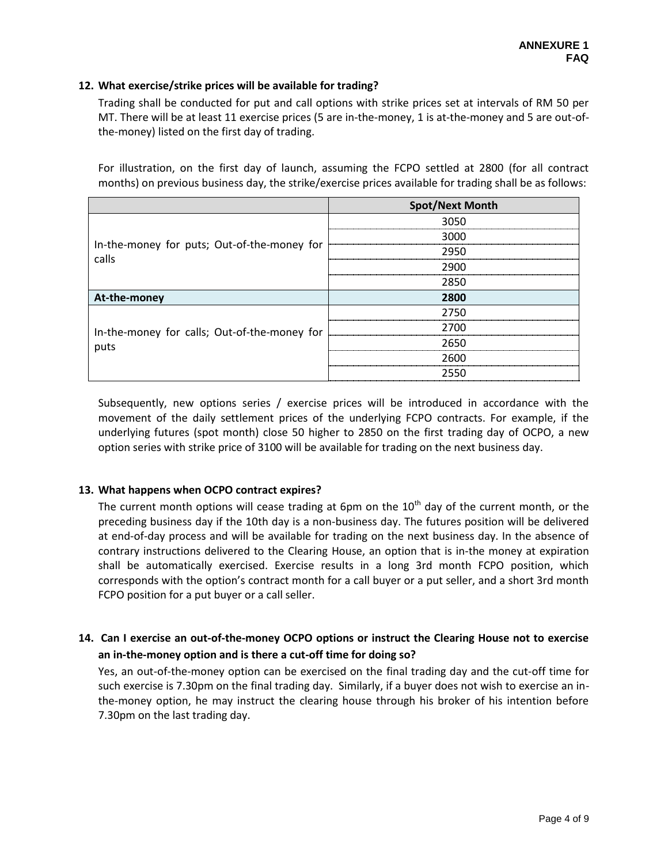## **12. What exercise/strike prices will be available for trading?**

Trading shall be conducted for put and call options with strike prices set at intervals of RM 50 per MT. There will be at least 11 exercise prices (5 are in-the-money, 1 is at-the-money and 5 are out-ofthe-money) listed on the first day of trading.

For illustration, on the first day of launch, assuming the FCPO settled at 2800 (for all contract months) on previous business day, the strike/exercise prices available for trading shall be as follows:

|                                                      | <b>Spot/Next Month</b> |
|------------------------------------------------------|------------------------|
|                                                      | 3050                   |
|                                                      | 3000                   |
| In-the-money for puts; Out-of-the-money for<br>calls | 2950                   |
|                                                      | 2900                   |
|                                                      | 2850                   |
| At-the-money                                         | 2800                   |
|                                                      | 2750                   |
| In-the-money for calls; Out-of-the-money for         | 2700                   |
| puts                                                 | 2650                   |
|                                                      | 2600                   |
|                                                      | 2550                   |

Subsequently, new options series / exercise prices will be introduced in accordance with the movement of the daily settlement prices of the underlying FCPO contracts. For example, if the underlying futures (spot month) close 50 higher to 2850 on the first trading day of OCPO, a new option series with strike price of 3100 will be available for trading on the next business day.

## **13. What happens when OCPO contract expires?**

The current month options will cease trading at 6pm on the  $10<sup>th</sup>$  day of the current month, or the preceding business day if the 10th day is a non-business day. The futures position will be delivered at end-of-day process and will be available for trading on the next business day. In the absence of contrary instructions delivered to the Clearing House, an option that is in-the money at expiration shall be automatically exercised. Exercise results in a long 3rd month FCPO position, which corresponds with the option's contract month for a call buyer or a put seller, and a short 3rd month FCPO position for a put buyer or a call seller.

# **14. Can I exercise an out-of-the-money OCPO options or instruct the Clearing House not to exercise an in-the-money option and is there a cut-off time for doing so?**

Yes, an out-of-the-money option can be exercised on the final trading day and the cut-off time for such exercise is 7.30pm on the final trading day. Similarly, if a buyer does not wish to exercise an inthe-money option, he may instruct the clearing house through his broker of his intention before 7.30pm on the last trading day.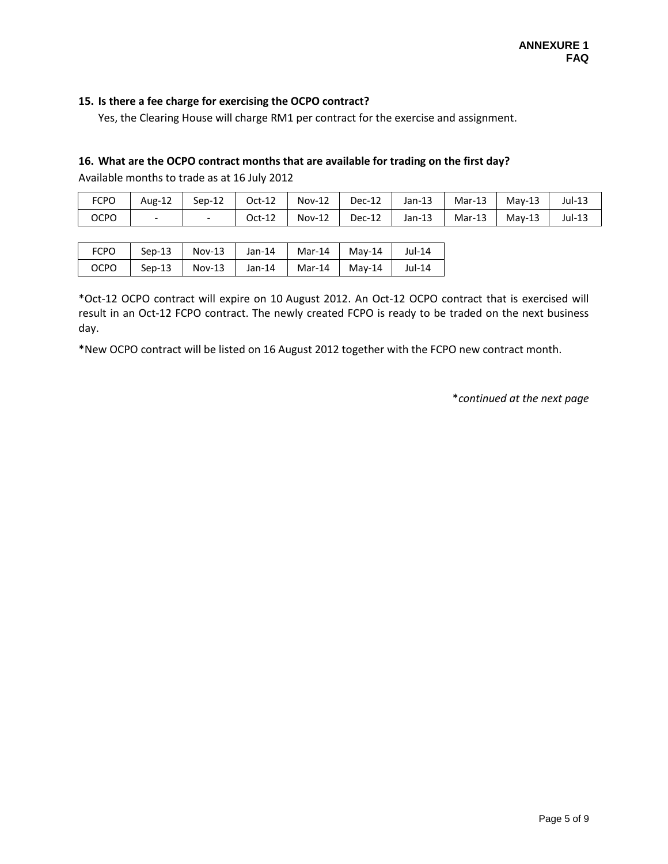### **15. Is there a fee charge for exercising the OCPO contract?**

Yes, the Clearing House will charge RM1 per contract for the exercise and assignment.

### **16. What are the OCPO contract months that are available for trading on the first day?**

Available months to trade as at 16 July 2012

| <b>FCPO</b> | Aug-12                   | $Sep-12$ | Oct-12 | $Nov-12$ | Dec-12 | Jan-13 | Mar-13   | $Mav-13$ | Jul-13 |
|-------------|--------------------------|----------|--------|----------|--------|--------|----------|----------|--------|
| <b>OCPO</b> | $\overline{\phantom{0}}$ |          | Oct-12 | $Nov-12$ | Dec-12 | Jan-13 | $Mar-13$ | $Mav-13$ | Jul-13 |

| <b>FCPO</b> | Sep-13   |        | Nov-13   Jan-14 | $Mar-14$   Mav-14 | Jul-14 |
|-------------|----------|--------|-----------------|-------------------|--------|
| OCPO        | $Sep-13$ | Nov-13 | Jan-14          | Mar-14   Mav-14   | Jul-14 |

\*Oct-12 OCPO contract will expire on 10 August 2012. An Oct-12 OCPO contract that is exercised will result in an Oct-12 FCPO contract. The newly created FCPO is ready to be traded on the next business day.

\*New OCPO contract will be listed on 16 August 2012 together with the FCPO new contract month.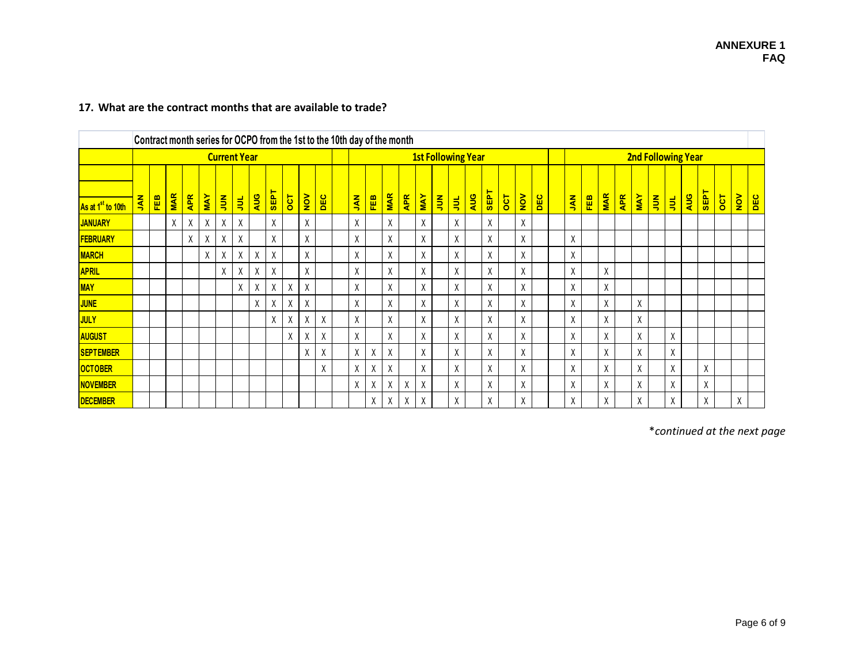|                               |            |            |            |            |            |               |                     |     |             |            |                         |     | Contract month series for OCPO from the 1st to the 10th day of the month |                                                                                                                                     |   |         |   |   |                           |   |  |   |  |   |  |  |           |     |            |            |            |                           |   |            |             |          |               |     |
|-------------------------------|------------|------------|------------|------------|------------|---------------|---------------------|-----|-------------|------------|-------------------------|-----|--------------------------------------------------------------------------|-------------------------------------------------------------------------------------------------------------------------------------|---|---------|---|---|---------------------------|---|--|---|--|---|--|--|-----------|-----|------------|------------|------------|---------------------------|---|------------|-------------|----------|---------------|-----|
|                               |            |            |            |            |            |               | <b>Current Year</b> |     |             |            |                         |     |                                                                          |                                                                                                                                     |   |         |   |   | <b>1st Following Year</b> |   |  |   |  |   |  |  |           |     |            |            |            | <b>2nd Following Year</b> |   |            |             |          |               |     |
|                               |            |            | <b>MAR</b> | <b>APR</b> | <b>MAY</b> |               |                     | AUG | <b>SEPT</b> | <b>OCT</b> | $\overline{\mathsf{X}}$ |     |                                                                          | <b>SEPT</b><br>NOV<br><b>MAR</b><br>AUG<br><b>APR</b><br><b>MAY</b><br><b>DOL</b><br>DEC<br><b>ANL</b><br>FEB<br>$\frac{2}{3}$<br>引 |   |         |   |   |                           |   |  |   |  |   |  |  |           |     | <b>MAR</b> | <b>APR</b> | <b>NAY</b> |                           |   | <b>AUG</b> | <b>SEPT</b> | <b>T</b> | $\frac{1}{2}$ |     |
| As at 1 <sup>st</sup> to 10th | <b>KAL</b> | <b>FEB</b> |            |            |            | $\frac{2}{3}$ | 阜                   |     |             |            |                         | DEC |                                                                          |                                                                                                                                     |   |         |   |   |                           |   |  |   |  |   |  |  | <b>AN</b> | FEB |            |            |            | $rac{z}{\sqrt{2}}$        | 阜 |            |             |          |               | DEC |
| <b>JANUARY</b>                |            |            | X          | χ          | X          | X             | X                   |     | χ           |            | X                       |     |                                                                          | X                                                                                                                                   |   | Χ       |   | χ |                           | χ |  | X |  | X |  |  |           |     |            |            |            |                           |   |            |             |          |               |     |
| <b>FEBRUARY</b>               |            |            |            | Χ          | χ          | X             | X                   |     | χ           |            | χ                       |     |                                                                          | Χ                                                                                                                                   |   | χ       |   | X |                           | Χ |  | X |  | X |  |  | X         |     |            |            |            |                           |   |            |             |          |               |     |
| <b>MARCH</b>                  |            |            |            |            | X.         | X             | X                   | X   | X           |            | X                       |     |                                                                          | X                                                                                                                                   |   | X       |   | X |                           | X |  | X |  | X |  |  | X         |     |            |            |            |                           |   |            |             |          |               |     |
| <b>APRIL</b>                  |            |            |            |            |            | X             | χ                   | Χ   | χ           |            | χ                       |     |                                                                          | X                                                                                                                                   |   | $\sf X$ |   | χ |                           | X |  | X |  | χ |  |  | χ         |     | Χ          |            |            |                           |   |            |             |          |               |     |
| <b>MAY</b>                    |            |            |            |            |            |               | X                   | X   | χ           | Χ          | χ                       |     |                                                                          | Χ                                                                                                                                   |   | χ       |   | χ |                           | Χ |  | χ |  | X |  |  | χ         |     | χ          |            |            |                           |   |            |             |          |               |     |
| <b>JUNE</b>                   |            |            |            |            |            |               |                     | X   | X           | χ          | X                       |     |                                                                          | X                                                                                                                                   |   | X       |   | X |                           | X |  | X |  | X |  |  | X         |     | χ          |            | χ          |                           |   |            |             |          |               |     |
| <b>JULY</b>                   |            |            |            |            |            |               |                     |     | χ           | χ          | X                       | X   |                                                                          | Χ                                                                                                                                   |   | X       |   | χ |                           | Χ |  | X |  | X |  |  | X         |     | χ          |            | χ          |                           |   |            |             |          |               |     |
| AUGUST                        |            |            |            |            |            |               |                     |     |             | χ          | χ                       | X   |                                                                          | Χ                                                                                                                                   |   | χ       |   | χ |                           | Χ |  | X |  | X |  |  | X         |     | χ          |            | χ          |                           | χ |            |             |          |               |     |
| <b>SEPTEMBER</b>              |            |            |            |            |            |               |                     |     |             |            | X                       | X   |                                                                          | X                                                                                                                                   | X | X       |   | X |                           | Χ |  | X |  | X |  |  | X         |     | χ          |            | χ          |                           | χ |            |             |          |               |     |
| <b>OCTOBER</b>                |            |            |            |            |            |               |                     |     |             |            |                         | χ   |                                                                          | X                                                                                                                                   | X | X       |   | χ |                           | Χ |  | X |  | X |  |  | X         |     | χ          |            | X          |                           | X |            | X           |          |               |     |
| <b>NOVEMBER</b>               |            |            |            |            |            |               |                     |     |             |            |                         |     |                                                                          | X                                                                                                                                   | Χ | χ       | X | X |                           | Χ |  | X |  | X |  |  | X         |     | X          |            | X          |                           | X |            | χ           |          |               |     |
| <b>DECEMBER</b>               |            |            |            |            |            |               |                     |     |             |            |                         |     |                                                                          |                                                                                                                                     | X | X       | X | X |                           | X |  | X |  | X |  |  | X         |     | χ          |            | X          |                           | χ |            | Χ           |          | χ             |     |

## **17. What are the contract months that are available to trade?**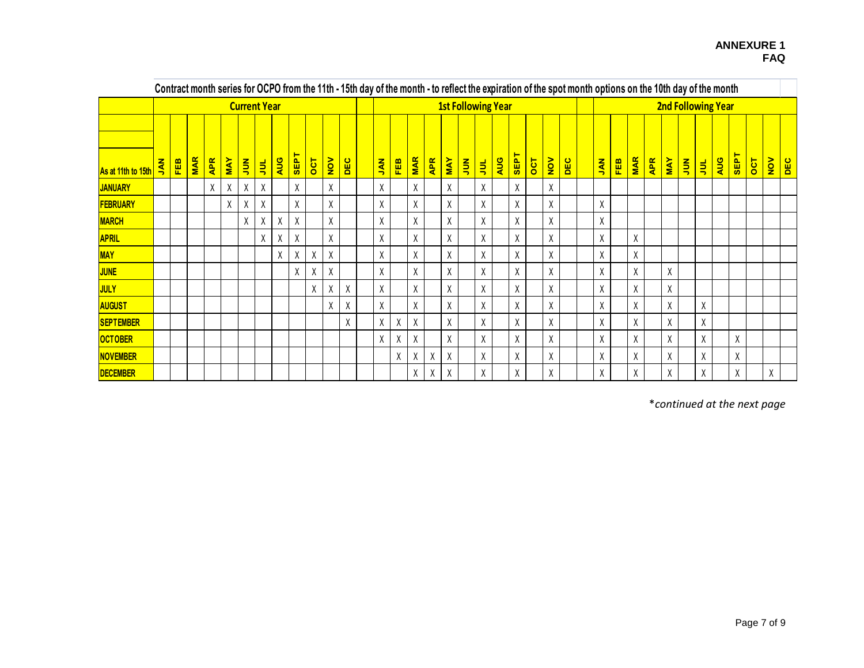|                    |                              |            |            |            |            |             |                     |     |             |                |               |     |                                                                                                                                                        |   |    |   |   |  |                           |  |   |  |   |  |           |            |            |            |            |                    | Contract month series for OCPO from the 11th - 15th day of the month - to reflect the expiration of the spot month options on the 10th day of the month |     |             |          |               |     |  |
|--------------------|------------------------------|------------|------------|------------|------------|-------------|---------------------|-----|-------------|----------------|---------------|-----|--------------------------------------------------------------------------------------------------------------------------------------------------------|---|----|---|---|--|---------------------------|--|---|--|---|--|-----------|------------|------------|------------|------------|--------------------|---------------------------------------------------------------------------------------------------------------------------------------------------------|-----|-------------|----------|---------------|-----|--|
|                    |                              |            |            |            |            |             | <b>Current Year</b> |     |             |                |               |     |                                                                                                                                                        |   |    |   |   |  | <b>1st Following Year</b> |  |   |  |   |  |           |            |            |            |            |                    | <b>2nd Following Year</b>                                                                                                                               |     |             |          |               |     |  |
| As at 11th to 15th | z<br>$\overline{\mathbf{z}}$ | <b>FEB</b> | <b>MAR</b> | <b>APR</b> | <b>MAY</b> | $rac{z}{z}$ | 員                   | AUG | <b>SEPT</b> | $\overline{5}$ | $\frac{1}{2}$ | DEC | <b>SEPT</b><br><b>MAR</b><br>AUG<br><b>APR</b><br>$\overline{5}$<br><b>MAY</b><br>$\frac{1}{2}$<br>DEC<br>FEB<br><b>ANL</b><br>$rac{z}{\sqrt{2}}$<br>引 |   |    |   |   |  |                           |  |   |  |   |  | <b>AN</b> | <b>FEB</b> | <b>MAR</b> | <b>APR</b> | <b>MAY</b> | $rac{z}{\sqrt{2}}$ | 引                                                                                                                                                       | AUG | <b>SEPT</b> | <b>T</b> | $\frac{1}{2}$ | DEC |  |
| <b>JANUARY</b>     |                              |            |            | χ          | χ          | X           | X                   |     | χ           |                | χ             |     | X                                                                                                                                                      |   | Χ  |   | χ |  | Χ                         |  | X |  | χ |  |           |            |            |            |            |                    |                                                                                                                                                         |     |             |          |               |     |  |
| <b>FEBRUARY</b>    |                              |            |            |            | χ          | χ           | X                   |     | χ           |                | χ             |     | χ                                                                                                                                                      |   | Χ  |   | χ |  | Χ                         |  | χ |  | Χ |  |           | χ          |            |            |            |                    |                                                                                                                                                         |     |             |          |               |     |  |
| <b>MARCH</b>       |                              |            |            |            |            | χ           | χ                   | Χ   | χ           |                | χ             |     | Χ                                                                                                                                                      |   | χ  |   | Χ |  | χ                         |  | χ |  | χ |  |           | χ          |            |            |            |                    |                                                                                                                                                         |     |             |          |               |     |  |
| <b>APRIL</b>       |                              |            |            |            |            |             | X                   | Χ   | X           |                | χ             |     | X                                                                                                                                                      |   | χ  |   | Χ |  | Χ                         |  | χ |  | χ |  |           | X          |            | Χ          |            |                    |                                                                                                                                                         |     |             |          |               |     |  |
| <b>MAY</b>         |                              |            |            |            |            |             |                     | χ   | χ           | χ              | X             |     | χ                                                                                                                                                      |   | Χ  |   | χ |  | Χ                         |  | χ |  | χ |  |           | X          |            | χ          |            |                    |                                                                                                                                                         |     |             |          |               |     |  |
| <b>JUNE</b>        |                              |            |            |            |            |             |                     |     | Χ           | χ              | χ             |     | χ                                                                                                                                                      |   | χ  |   | χ |  | Χ                         |  | χ |  | X |  |           | χ          |            | χ          |            | Χ                  |                                                                                                                                                         |     |             |          |               |     |  |
| <b>JULY</b>        |                              |            |            |            |            |             |                     |     |             | χ              | χ             | χ   | χ                                                                                                                                                      |   | X  |   | χ |  | Χ                         |  | χ |  | χ |  |           | X          |            | χ          |            | Χ                  |                                                                                                                                                         |     |             |          |               |     |  |
| <b>AUGUST</b>      |                              |            |            |            |            |             |                     |     |             |                | X             | Χ   | χ                                                                                                                                                      |   | X  |   | χ |  | χ                         |  | χ |  | Χ |  |           | χ          |            | χ          |            | Χ                  |                                                                                                                                                         | χ   |             |          |               |     |  |
| <b>SEPTEMBER</b>   |                              |            |            |            |            |             |                     |     |             |                |               | Χ   | χ                                                                                                                                                      | χ | χ  |   | χ |  | χ                         |  | χ |  | χ |  |           | χ          |            | χ          |            | Χ                  |                                                                                                                                                         | χ   |             |          |               |     |  |
| <b>OCTOBER</b>     |                              |            |            |            |            |             |                     |     |             |                |               |     | χ                                                                                                                                                      | χ | χ  |   | χ |  | χ                         |  | χ |  | Χ |  |           | χ          |            | χ          |            | Χ                  |                                                                                                                                                         | Χ   |             | χ        |               |     |  |
| <b>NOVEMBER</b>    |                              |            |            |            |            |             |                     |     |             |                |               |     |                                                                                                                                                        | χ | χ  | χ | X |  | χ                         |  | χ |  | χ |  |           | χ          |            | χ          |            | χ                  |                                                                                                                                                         | χ   |             | χ        |               |     |  |
| <b>DECEMBER</b>    |                              |            |            |            |            |             |                     |     |             |                |               |     |                                                                                                                                                        |   | X. | X | χ |  | X                         |  | χ |  | χ |  |           | X          |            | X          |            | X                  |                                                                                                                                                         | χ   |             | X        |               | χ   |  |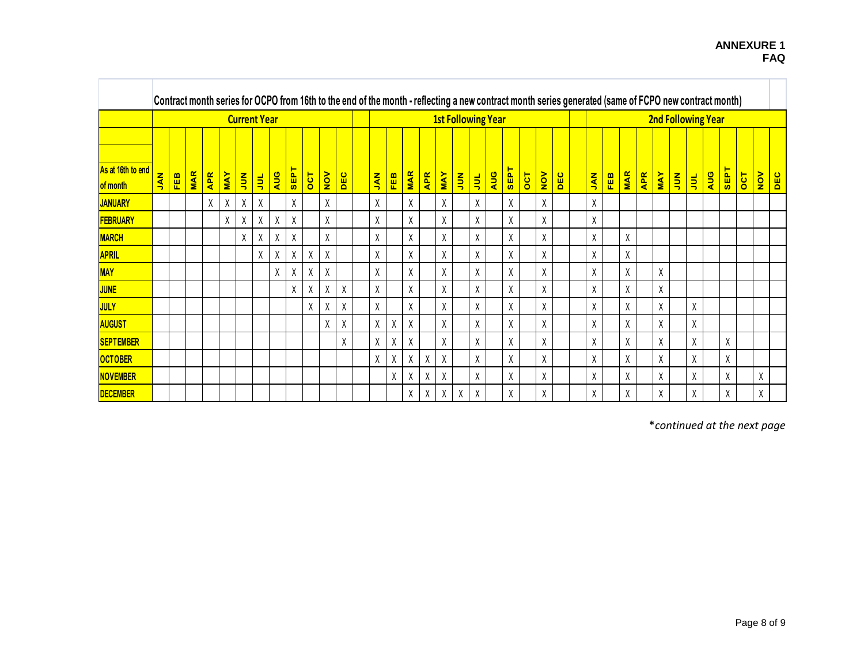|                   |     |            |            |            |            |                    |                     |     |      |     |               |     |                                                                                                                                                   |   |   |   |                           |   |   |  |   |  |   | Contract month series for OCPO from 16th to the end of the month - reflecting a new contract month series generated (same of FCPO new contract month) |  |           |            |            |            |            |             |                           |     |      |          |               |            |
|-------------------|-----|------------|------------|------------|------------|--------------------|---------------------|-----|------|-----|---------------|-----|---------------------------------------------------------------------------------------------------------------------------------------------------|---|---|---|---------------------------|---|---|--|---|--|---|-------------------------------------------------------------------------------------------------------------------------------------------------------|--|-----------|------------|------------|------------|------------|-------------|---------------------------|-----|------|----------|---------------|------------|
|                   |     |            |            |            |            |                    | <b>Current Year</b> |     |      |     |               |     |                                                                                                                                                   |   |   |   | <b>1st Following Year</b> |   |   |  |   |  |   |                                                                                                                                                       |  |           |            |            |            |            |             | <b>2nd Following Year</b> |     |      |          |               |            |
| As at 16th to end | KAL | <b>FEB</b> | <b>MAR</b> | <b>APR</b> | <b>MAY</b> | $rac{z}{\sqrt{2}}$ |                     | AUG | SEPT | OCT | $\frac{1}{2}$ | DEC | SEPT<br><b>MAR</b><br>$\frac{1}{2}$<br><b>APR</b><br>AUG<br>DEC<br><b>NAY</b><br>$\overline{5}$<br>$\frac{z}{2}$<br><b>ANL</b><br><b>FEB</b><br>引 |   |   |   |                           |   |   |  |   |  |   |                                                                                                                                                       |  | <b>AN</b> | <b>FEB</b> | <b>MAR</b> | <b>APR</b> | <b>MAY</b> | $rac{z}{z}$ |                           | AUG | SEPT | <b>T</b> | $\frac{1}{2}$ | <b>DEC</b> |
| of month          |     |            |            |            |            |                    | 阜                   |     |      |     |               |     |                                                                                                                                                   |   |   |   |                           |   |   |  |   |  |   |                                                                                                                                                       |  |           |            |            |            |            |             | 引                         |     |      |          |               |            |
| <b>JANUARY</b>    |     |            |            | χ          | χ          | Χ                  | Χ                   |     | χ    |     | Χ             |     | χ                                                                                                                                                 |   | X |   | χ                         |   | χ |  | χ |  | χ |                                                                                                                                                       |  | χ         |            |            |            |            |             |                           |     |      |          |               |            |
| <b>FEBRUARY</b>   |     |            |            |            | χ          | χ                  | χ                   | χ   | χ    |     | χ             |     | X                                                                                                                                                 |   | χ |   | X                         |   | χ |  | χ |  | Χ |                                                                                                                                                       |  | χ         |            |            |            |            |             |                           |     |      |          |               |            |
| <b>MARCH</b>      |     |            |            |            |            | X                  | χ                   | χ   | χ    |     | χ             |     | X                                                                                                                                                 |   | χ |   | X                         |   | χ |  | χ |  | Χ |                                                                                                                                                       |  | Χ         |            | χ          |            |            |             |                           |     |      |          |               |            |
| <b>APRIL</b>      |     |            |            |            |            |                    | Χ                   | χ   | χ    | χ   | χ             |     | χ                                                                                                                                                 |   | Χ |   | Χ                         |   | χ |  | χ |  | χ |                                                                                                                                                       |  | χ         |            | χ          |            |            |             |                           |     |      |          |               |            |
| <b>MAY</b>        |     |            |            |            |            |                    |                     | χ   | χ    | χ   | χ             |     | χ                                                                                                                                                 |   | χ |   | Χ                         |   | χ |  | χ |  | χ |                                                                                                                                                       |  | χ         |            | X          |            | χ          |             |                           |     |      |          |               |            |
| <b>JUNE</b>       |     |            |            |            |            |                    |                     |     | χ    | χ   | χ             | χ   | Χ                                                                                                                                                 |   | χ |   | χ                         |   | Χ |  | χ |  | χ |                                                                                                                                                       |  | χ         |            | χ          |            | χ          |             |                           |     |      |          |               |            |
| JULY              |     |            |            |            |            |                    |                     |     |      | X   | Χ             | χ   | χ                                                                                                                                                 |   | χ |   | χ                         |   | Χ |  | χ |  | χ |                                                                                                                                                       |  | χ         |            | χ          |            | χ          |             | χ                         |     |      |          |               |            |
| AUGUST            |     |            |            |            |            |                    |                     |     |      |     | χ             | χ   | Χ                                                                                                                                                 | χ | χ |   | χ                         |   | Χ |  | χ |  | χ |                                                                                                                                                       |  | χ         |            | χ          |            | χ          |             | χ                         |     |      |          |               |            |
| <b>SEPTEMBER</b>  |     |            |            |            |            |                    |                     |     |      |     |               | X   | χ                                                                                                                                                 | χ | χ |   | X                         |   | Χ |  | χ |  | χ |                                                                                                                                                       |  | χ         |            | χ          |            | χ          |             | χ                         |     | χ    |          |               |            |
| <b>OCTOBER</b>    |     |            |            |            |            |                    |                     |     |      |     |               |     | X                                                                                                                                                 | χ | χ | χ | X                         |   | Χ |  | χ |  | χ |                                                                                                                                                       |  | χ         |            | χ          |            | X          |             | χ                         |     | χ    |          |               |            |
| <b>NOVEMBER</b>   |     |            |            |            |            |                    |                     |     |      |     |               |     |                                                                                                                                                   | X | χ | χ | χ                         |   | χ |  | χ |  | χ |                                                                                                                                                       |  | χ         |            | χ          |            | χ          |             | χ                         |     | χ    |          | χ             |            |
| <b>DECEMBER</b>   |     |            |            |            |            |                    |                     |     |      |     |               |     |                                                                                                                                                   |   | χ | χ | χ                         | Χ | Χ |  | χ |  | χ |                                                                                                                                                       |  | χ         |            | χ          |            | χ          |             | χ                         |     | χ    |          | χ             |            |